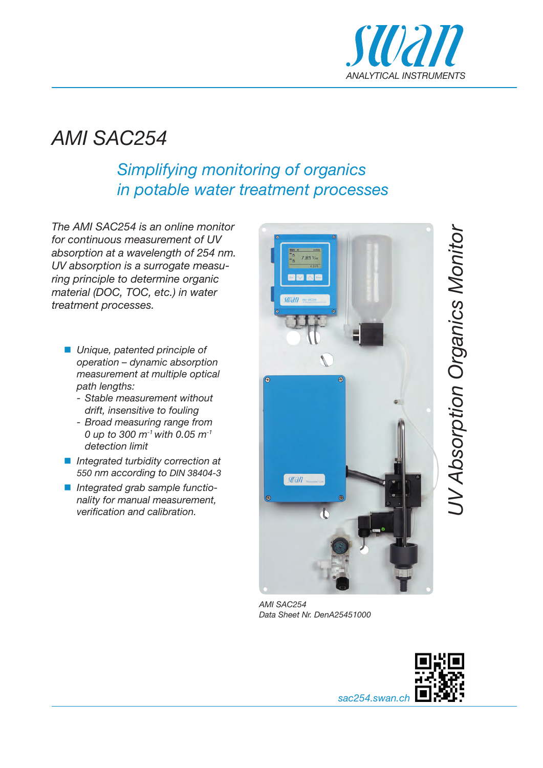

# *AMI SAC254*

## *Simplifying monitoring of organics in potable water treatment processes*

*The AMI SAC254 is an online monitor for continuous measurement of UV absorption at a wavelength of 254 nm. UV absorption is a surrogate measuring principle to determine organic material (DOC, TOC, etc.) in water treatment processes.*

- Unique, patented principle of *operation – dynamic absorption measurement at multiple optical path lengths:*
	- *Stable measurement without drift, insensitive to fouling*
	- *Broad measuring range from 0 up to 300 m-1 with 0.05 m-1 detection limit*
- *Integrated turbidity correction at 550 nm according to DIN 38404-3*
- *Integrated grab sample functionality for manual measurement, verifi cation and calibration.*



*AMI SAC254 Data Sheet Nr. DenA25451000*